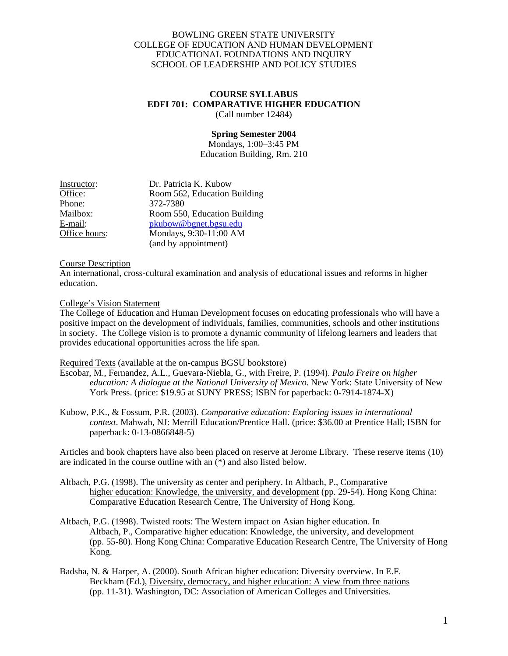## BOWLING GREEN STATE UNIVERSITY COLLEGE OF EDUCATION AND HUMAN DEVELOPMENT EDUCATIONAL FOUNDATIONS AND INQUIRY SCHOOL OF LEADERSHIP AND POLICY STUDIES

#### **COURSE SYLLABUS EDFI 701: COMPARATIVE HIGHER EDUCATION**  (Call number 12484)

**Spring Semester 2004**  Mondays, 1:00–3:45 PM Education Building, Rm. 210

| Instructor:   | Dr. Patricia K. Kubow        |
|---------------|------------------------------|
| Office:       | Room 562, Education Building |
| Phone:        | 372-7380                     |
| Mailbox:      | Room 550, Education Building |
| E-mail:       | pkubow@bgnet.bgsu.edu        |
| Office hours: | Mondays, 9:30-11:00 AM       |
|               | (and by appointment)         |

## Course Description

An international, cross-cultural examination and analysis of educational issues and reforms in higher education.

## College's Vision Statement

The College of Education and Human Development focuses on educating professionals who will have a positive impact on the development of individuals, families, communities, schools and other institutions in society. The College vision is to promote a dynamic community of lifelong learners and leaders that provides educational opportunities across the life span.

## Required Texts (available at the on-campus BGSU bookstore)

- Escobar, M., Fernandez, A.L., Guevara-Niebla, G., with Freire, P. (1994). *Paulo Freire on higher education: A dialogue at the National University of Mexico.* New York: State University of New York Press. (price: \$19.95 at SUNY PRESS; ISBN for paperback: 0-7914-1874-X)
- Kubow, P.K., & Fossum, P.R. (2003). *Comparative education: Exploring issues in international context*. Mahwah, NJ: Merrill Education/Prentice Hall. (price: \$36.00 at Prentice Hall; ISBN for paperback: 0-13-0866848-5)

Articles and book chapters have also been placed on reserve at Jerome Library. These reserve items (10) are indicated in the course outline with an  $(*)$  and also listed below.

- Altbach, P.G. (1998). The university as center and periphery. In Altbach, P., Comparative higher education: Knowledge, the university, and development (pp. 29-54). Hong Kong China: Comparative Education Research Centre, The University of Hong Kong.
- Altbach, P.G. (1998). Twisted roots: The Western impact on Asian higher education. In Altbach, P., Comparative higher education: Knowledge, the university, and development (pp. 55-80). Hong Kong China: Comparative Education Research Centre, The University of Hong Kong.
- Badsha, N. & Harper, A. (2000). South African higher education: Diversity overview. In E.F. Beckham (Ed.), Diversity, democracy, and higher education: A view from three nations (pp. 11-31). Washington, DC: Association of American Colleges and Universities.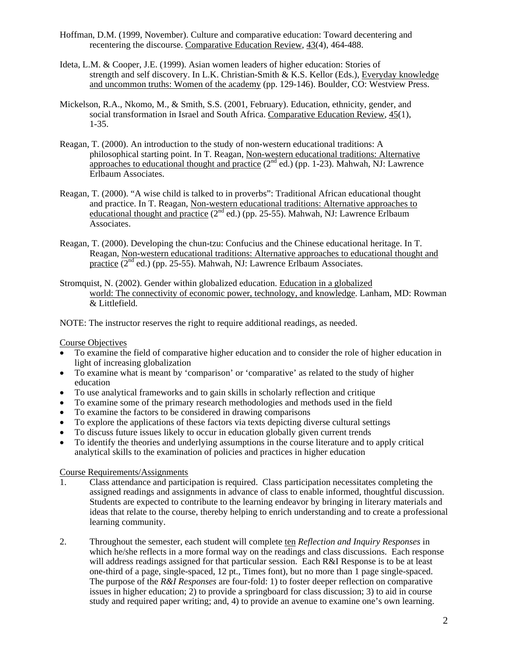- Hoffman, D.M. (1999, November). Culture and comparative education: Toward decentering and recentering the discourse. Comparative Education Review, 43(4), 464-488.
- Ideta, L.M. & Cooper, J.E. (1999). Asian women leaders of higher education: Stories of strength and self discovery. In L.K. Christian-Smith & K.S. Kellor (Eds.), Everyday knowledge and uncommon truths: Women of the academy (pp. 129-146). Boulder, CO: Westview Press.
- Mickelson, R.A., Nkomo, M., & Smith, S.S. (2001, February). Education, ethnicity, gender, and social transformation in Israel and South Africa. Comparative Education Review, 45(1), 1-35.
- Reagan, T. (2000). An introduction to the study of non-western educational traditions: A philosophical starting point. In T. Reagan, Non-western educational traditions: Alternative approaches to educational thought and practice  $(2^{nd}$  ed.) (pp. 1-23). Mahwah, NJ: Lawrence Erlbaum Associates.
- Reagan, T. (2000). "A wise child is talked to in proverbs": Traditional African educational thought and practice. In T. Reagan, Non-western educational traditions: Alternative approaches to educational thought and practice  $(2^{nd}$  ed.) (pp. 25-55). Mahwah, NJ: Lawrence Erlbaum Associates.
- Reagan, T. (2000). Developing the chun-tzu: Confucius and the Chinese educational heritage. In T. Reagan, Non-western educational traditions: Alternative approaches to educational thought and practice  $(2^{nd}$  ed.) (pp. 25-55). Mahwah, NJ: Lawrence Erlbaum Associates.
- Stromquist, N. (2002). Gender within globalized education. Education in a globalized world: The connectivity of economic power, technology, and knowledge. Lanham, MD: Rowman & Littlefield.

NOTE: The instructor reserves the right to require additional readings, as needed.

#### Course Objectives

- To examine the field of comparative higher education and to consider the role of higher education in light of increasing globalization
- To examine what is meant by 'comparison' or 'comparative' as related to the study of higher education
- To use analytical frameworks and to gain skills in scholarly reflection and critique
- To examine some of the primary research methodologies and methods used in the field
- To examine the factors to be considered in drawing comparisons
- To explore the applications of these factors via texts depicting diverse cultural settings
- To discuss future issues likely to occur in education globally given current trends
- To identify the theories and underlying assumptions in the course literature and to apply critical analytical skills to the examination of policies and practices in higher education

#### Course Requirements/Assignments

- 1. Class attendance and participation is required. Class participation necessitates completing the assigned readings and assignments in advance of class to enable informed, thoughtful discussion. Students are expected to contribute to the learning endeavor by bringing in literary materials and ideas that relate to the course, thereby helping to enrich understanding and to create a professional learning community.
- 2. Throughout the semester, each student will complete ten *Reflection and Inquiry Responses* in which he/she reflects in a more formal way on the readings and class discussions. Each response will address readings assigned for that particular session. Each R&I Response is to be at least one-third of a page, single-spaced, 12 pt., Times font), but no more than 1 page single-spaced. The purpose of the *R&I Responses* are four-fold: 1) to foster deeper reflection on comparative issues in higher education; 2) to provide a springboard for class discussion; 3) to aid in course study and required paper writing; and, 4) to provide an avenue to examine one's own learning.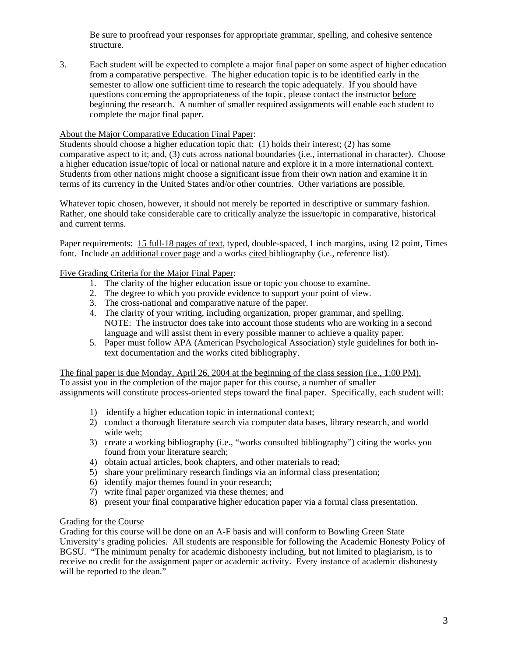Be sure to proofread your responses for appropriate grammar, spelling, and cohesive sentence structure.

3. Each student will be expected to complete a major final paper on some aspect of higher education from a comparative perspective. The higher education topic is to be identified early in the semester to allow one sufficient time to research the topic adequately. If you should have questions concerning the appropriateness of the topic, please contact the instructor before beginning the research. A number of smaller required assignments will enable each student to complete the major final paper.

# About the Major Comparative Education Final Paper:

Students should choose a higher education topic that: (1) holds their interest; (2) has some comparative aspect to it; and, (3) cuts across national boundaries (i.e., international in character). Choose a higher education issue/topic of local or national nature and explore it in a more international context. Students from other nations might choose a significant issue from their own nation and examine it in terms of its currency in the United States and/or other countries. Other variations are possible.

Whatever topic chosen, however, it should not merely be reported in descriptive or summary fashion. Rather, one should take considerable care to critically analyze the issue/topic in comparative, historical and current terms.

Paper requirements: 15 full-18 pages of text, typed, double-spaced, 1 inch margins, using 12 point, Times font. Include an additional cover page and a works cited bibliography (i.e., reference list).

# Five Grading Criteria for the Major Final Paper:

- 1. The clarity of the higher education issue or topic you choose to examine.
- 2. The degree to which you provide evidence to support your point of view.
- 3. The cross-national and comparative nature of the paper.
- 4. The clarity of your writing, including organization, proper grammar, and spelling. NOTE: The instructor does take into account those students who are working in a second language and will assist them in every possible manner to achieve a quality paper.
- 5. Paper must follow APA (American Psychological Association) style guidelines for both intext documentation and the works cited bibliography.

The final paper is due Monday, April 26, 2004 at the beginning of the class session (i.e., 1:00 PM).

To assist you in the completion of the major paper for this course, a number of smaller assignments will constitute process-oriented steps toward the final paper. Specifically, each student will:

- 1) identify a higher education topic in international context;
- 2) conduct a thorough literature search via computer data bases, library research, and world wide web;
- 3) create a working bibliography (i.e., "works consulted bibliography") citing the works you found from your literature search;
- 4) obtain actual articles, book chapters, and other materials to read;
- 5) share your preliminary research findings via an informal class presentation;
- 6) identify major themes found in your research;
- 7) write final paper organized via these themes; and
- 8) present your final comparative higher education paper via a formal class presentation.

# Grading for the Course

Grading for this course will be done on an A-F basis and will conform to Bowling Green State University's grading policies. All students are responsible for following the Academic Honesty Policy of BGSU. "The minimum penalty for academic dishonesty including, but not limited to plagiarism, is to receive no credit for the assignment paper or academic activity. Every instance of academic dishonesty will be reported to the dean."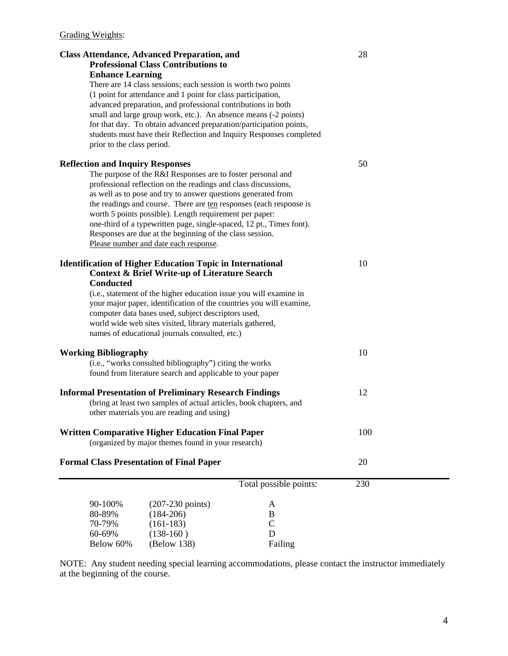| <b>Class Attendance, Advanced Preparation, and</b><br><b>Professional Class Contributions to</b>                                       |                                                                                                                                                                                                                                                                                                                                                                                                                                                                     |                                                | 28  |  |
|----------------------------------------------------------------------------------------------------------------------------------------|---------------------------------------------------------------------------------------------------------------------------------------------------------------------------------------------------------------------------------------------------------------------------------------------------------------------------------------------------------------------------------------------------------------------------------------------------------------------|------------------------------------------------|-----|--|
| <b>Enhance Learning</b>                                                                                                                |                                                                                                                                                                                                                                                                                                                                                                                                                                                                     |                                                |     |  |
| prior to the class period.                                                                                                             | There are 14 class sessions; each session is worth two points<br>(1 point for attendance and 1 point for class participation,<br>advanced preparation, and professional contributions in both<br>small and large group work, etc.). An absence means (-2 points)<br>for that day. To obtain advanced preparation/participation points,<br>students must have their Reflection and Inquiry Responses completed                                                       |                                                |     |  |
| <b>Reflection and Inquiry Responses</b><br>Please number and date each response.                                                       | The purpose of the R&I Responses are to foster personal and<br>professional reflection on the readings and class discussions,<br>as well as to pose and try to answer questions generated from<br>the readings and course. There are ten responses (each response is<br>worth 5 points possible). Length requirement per paper:<br>one-third of a typewritten page, single-spaced, 12 pt., Times font).<br>Responses are due at the beginning of the class session. |                                                | 50  |  |
| <b>Identification of Higher Education Topic in International</b><br><b>Conducted</b><br>names of educational journals consulted, etc.) | <b>Context &amp; Brief Write-up of Literature Search</b><br>(i.e., statement of the higher education issue you will examine in<br>your major paper, identification of the countries you will examine,<br>computer data bases used, subject descriptors used,<br>world wide web sites visited, library materials gathered,                                                                                                                                           |                                                | 10  |  |
| <b>Working Bibliography</b>                                                                                                            | (i.e., "works consulted bibliography") citing the works<br>found from literature search and applicable to your paper                                                                                                                                                                                                                                                                                                                                                |                                                | 10  |  |
| <b>Informal Presentation of Preliminary Research Findings</b><br>other materials you are reading and using)                            | (bring at least two samples of actual articles, book chapters, and                                                                                                                                                                                                                                                                                                                                                                                                  |                                                | 12  |  |
| <b>Written Comparative Higher Education Final Paper</b>                                                                                | (organized by major themes found in your research)                                                                                                                                                                                                                                                                                                                                                                                                                  |                                                | 100 |  |
| <b>Formal Class Presentation of Final Paper</b>                                                                                        |                                                                                                                                                                                                                                                                                                                                                                                                                                                                     |                                                | 20  |  |
|                                                                                                                                        |                                                                                                                                                                                                                                                                                                                                                                                                                                                                     | Total possible points:                         | 230 |  |
| 90-100%<br>80-89%<br>70-79%<br>60-69%<br>Below 60%                                                                                     | $(207-230 \text{ points})$<br>$(184-206)$<br>$(161-183)$<br>$(138-160)$<br>(Below 138)                                                                                                                                                                                                                                                                                                                                                                              | A<br>$\bf{B}$<br>$\mathcal{C}$<br>D<br>Failing |     |  |

NOTE: Any student needing special learning accommodations, please contact the instructor immediately at the beginning of the course.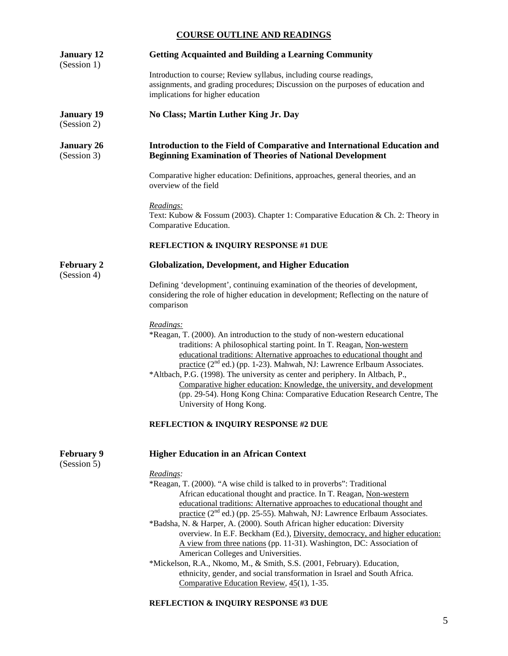## **COURSE OUTLINE AND READINGS**

| <b>Getting Acquainted and Building a Learning Community</b><br>Introduction to course; Review syllabus, including course readings,<br>assignments, and grading procedures; Discussion on the purposes of education and                                                                                                                                                                                                                                                                                                                                                                                          |
|-----------------------------------------------------------------------------------------------------------------------------------------------------------------------------------------------------------------------------------------------------------------------------------------------------------------------------------------------------------------------------------------------------------------------------------------------------------------------------------------------------------------------------------------------------------------------------------------------------------------|
|                                                                                                                                                                                                                                                                                                                                                                                                                                                                                                                                                                                                                 |
| implications for higher education                                                                                                                                                                                                                                                                                                                                                                                                                                                                                                                                                                               |
| No Class; Martin Luther King Jr. Day                                                                                                                                                                                                                                                                                                                                                                                                                                                                                                                                                                            |
| Introduction to the Field of Comparative and International Education and<br><b>Beginning Examination of Theories of National Development</b>                                                                                                                                                                                                                                                                                                                                                                                                                                                                    |
| Comparative higher education: Definitions, approaches, general theories, and an<br>overview of the field                                                                                                                                                                                                                                                                                                                                                                                                                                                                                                        |
| Readings:<br>Text: Kubow & Fossum (2003). Chapter 1: Comparative Education & Ch. 2: Theory in<br>Comparative Education.                                                                                                                                                                                                                                                                                                                                                                                                                                                                                         |
| <b>REFLECTION &amp; INQUIRY RESPONSE #1 DUE</b>                                                                                                                                                                                                                                                                                                                                                                                                                                                                                                                                                                 |
| <b>Globalization, Development, and Higher Education</b>                                                                                                                                                                                                                                                                                                                                                                                                                                                                                                                                                         |
| Defining 'development', continuing examination of the theories of development,<br>considering the role of higher education in development; Reflecting on the nature of<br>comparison                                                                                                                                                                                                                                                                                                                                                                                                                            |
| Readings:<br>*Reagan, T. (2000). An introduction to the study of non-western educational<br>traditions: A philosophical starting point. In T. Reagan, Non-western<br>educational traditions: Alternative approaches to educational thought and<br>practice (2 <sup>nd</sup> ed.) (pp. 1-23). Mahwah, NJ: Lawrence Erlbaum Associates.<br>*Altbach, P.G. (1998). The university as center and periphery. In Altbach, P.,<br>Comparative higher education: Knowledge, the university, and development<br>(pp. 29-54). Hong Kong China: Comparative Education Research Centre, The                                 |
| University of Hong Kong.                                                                                                                                                                                                                                                                                                                                                                                                                                                                                                                                                                                        |
| <b>REFLECTION &amp; INQUIRY RESPONSE #2 DUE</b>                                                                                                                                                                                                                                                                                                                                                                                                                                                                                                                                                                 |
| <b>Higher Education in an African Context</b>                                                                                                                                                                                                                                                                                                                                                                                                                                                                                                                                                                   |
| Readings:<br>*Reagan, T. (2000). "A wise child is talked to in proverbs": Traditional<br>African educational thought and practice. In T. Reagan, Non-western<br>educational traditions: Alternative approaches to educational thought and<br>practice (2 <sup>nd</sup> ed.) (pp. 25-55). Mahwah, NJ: Lawrence Erlbaum Associates.<br>*Badsha, N. & Harper, A. (2000). South African higher education: Diversity<br>overview. In E.F. Beckham (Ed.), Diversity, democracy, and higher education:<br>A view from three nations (pp. 11-31). Washington, DC: Association of<br>American Colleges and Universities. |
|                                                                                                                                                                                                                                                                                                                                                                                                                                                                                                                                                                                                                 |

 \*Mickelson, R.A., Nkomo, M., & Smith, S.S. (2001, February). Education, ethnicity, gender, and social transformation in Israel and South Africa. Comparative Education Review, 45(1), 1-35.

# **REFLECTION & INQUIRY RESPONSE #3 DUE**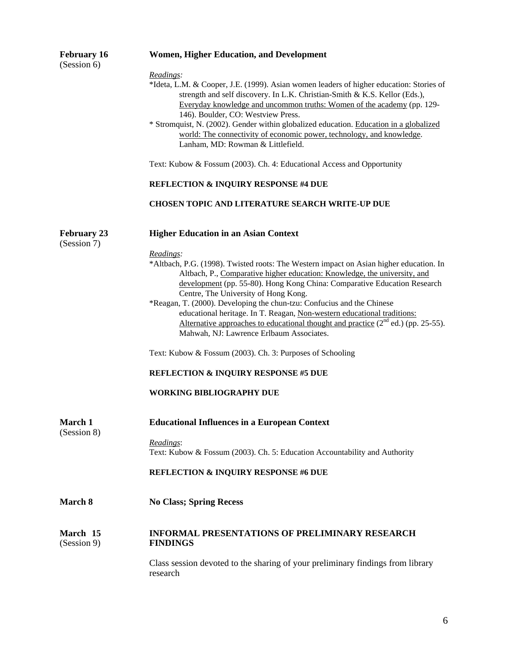| <b>February 16</b><br>(Session 6) | <b>Women, Higher Education, and Development</b>                                                                                                                                                                                                                                                      |  |  |  |
|-----------------------------------|------------------------------------------------------------------------------------------------------------------------------------------------------------------------------------------------------------------------------------------------------------------------------------------------------|--|--|--|
|                                   | Readings:                                                                                                                                                                                                                                                                                            |  |  |  |
|                                   | *Ideta, L.M. & Cooper, J.E. (1999). Asian women leaders of higher education: Stories of<br>strength and self discovery. In L.K. Christian-Smith & K.S. Kellor (Eds.),<br>Everyday knowledge and uncommon truths: Women of the academy (pp. 129-<br>146). Boulder, CO: Westview Press.                |  |  |  |
|                                   | * Stromquist, N. (2002). Gender within globalized education. Education in a globalized<br>world: The connectivity of economic power, technology, and knowledge.                                                                                                                                      |  |  |  |
|                                   | Lanham, MD: Rowman & Littlefield.                                                                                                                                                                                                                                                                    |  |  |  |
|                                   | Text: Kubow & Fossum (2003). Ch. 4: Educational Access and Opportunity<br><b>REFLECTION &amp; INQUIRY RESPONSE #4 DUE</b>                                                                                                                                                                            |  |  |  |
|                                   |                                                                                                                                                                                                                                                                                                      |  |  |  |
|                                   | <b>CHOSEN TOPIC AND LITERATURE SEARCH WRITE-UP DUE</b>                                                                                                                                                                                                                                               |  |  |  |
| <b>February 23</b>                | <b>Higher Education in an Asian Context</b>                                                                                                                                                                                                                                                          |  |  |  |
| (Session 7)                       |                                                                                                                                                                                                                                                                                                      |  |  |  |
|                                   | Readings:<br>*Altbach, P.G. (1998). Twisted roots: The Western impact on Asian higher education. In<br>Altbach, P., Comparative higher education: Knowledge, the university, and<br>development (pp. 55-80). Hong Kong China: Comparative Education Research<br>Centre, The University of Hong Kong. |  |  |  |
|                                   | *Reagan, T. (2000). Developing the chun-tzu: Confucius and the Chinese<br>educational heritage. In T. Reagan, Non-western educational traditions:<br>Alternative approaches to educational thought and practice $(2^{nd}$ ed.) (pp. 25-55).<br>Mahwah, NJ: Lawrence Erlbaum Associates.              |  |  |  |
|                                   | Text: Kubow & Fossum (2003). Ch. 3: Purposes of Schooling                                                                                                                                                                                                                                            |  |  |  |
|                                   | <b>REFLECTION &amp; INQUIRY RESPONSE #5 DUE</b>                                                                                                                                                                                                                                                      |  |  |  |
|                                   | <b>WORKING BIBLIOGRAPHY DUE</b>                                                                                                                                                                                                                                                                      |  |  |  |
| <b>March 1</b><br>(Session 8)     | <b>Educational Influences in a European Context</b>                                                                                                                                                                                                                                                  |  |  |  |
|                                   | Readings:<br>Text: Kubow & Fossum (2003). Ch. 5: Education Accountability and Authority                                                                                                                                                                                                              |  |  |  |
|                                   | <b>REFLECTION &amp; INQUIRY RESPONSE #6 DUE</b>                                                                                                                                                                                                                                                      |  |  |  |
| March 8                           | <b>No Class; Spring Recess</b>                                                                                                                                                                                                                                                                       |  |  |  |
|                                   |                                                                                                                                                                                                                                                                                                      |  |  |  |
| March 15<br>(Session 9)           | <b>INFORMAL PRESENTATIONS OF PRELIMINARY RESEARCH</b><br><b>FINDINGS</b>                                                                                                                                                                                                                             |  |  |  |
|                                   | Class session devoted to the sharing of your preliminary findings from library<br>research                                                                                                                                                                                                           |  |  |  |